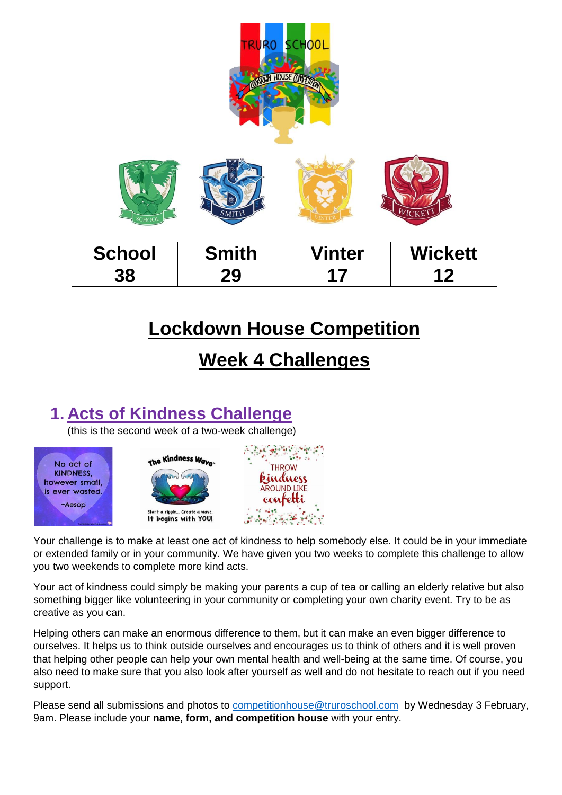

# **Lockdown House Competition**

# **Week 4 Challenges**

## **1. Acts of Kindness Challenge**

(this is the second week of a two-week challenge)







Your challenge is to make at least one act of kindness to help somebody else. It could be in your immediate or extended family or in your community. We have given you two weeks to complete this challenge to allow you two weekends to complete more kind acts.

Your act of kindness could simply be making your parents a cup of tea or calling an elderly relative but also something bigger like volunteering in your community or completing your own charity event. Try to be as creative as you can.

Helping others can make an enormous difference to them, but it can make an even bigger difference to ourselves. It helps us to think outside ourselves and encourages us to think of others and it is well proven that helping other people can help your own mental health and well-being at the same time. Of course, you also need to make sure that you also look after yourself as well and do not hesitate to reach out if you need support.

Please send all submissions and photos to **competitionhouse@truroschool.com** by Wednesday 3 February, 9am. Please include your **name, form, and competition house** with your entry.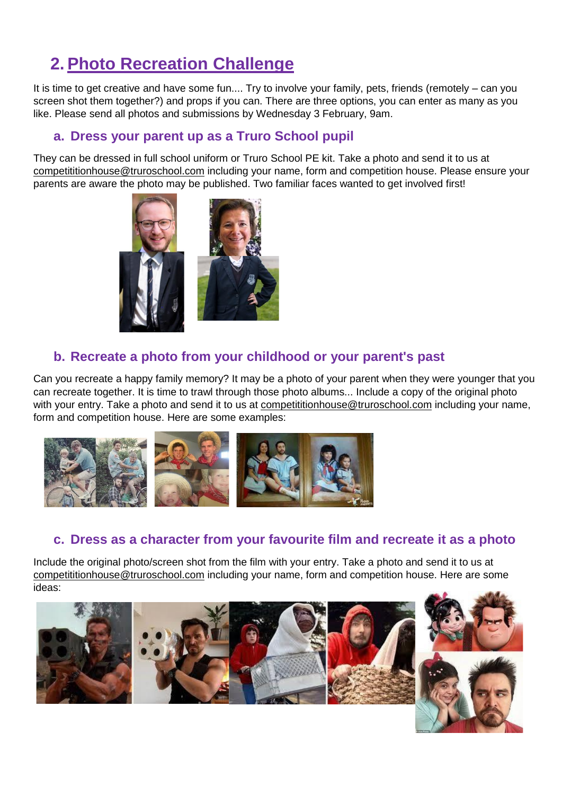## **2. Photo Recreation Challenge**

It is time to get creative and have some fun.... Try to involve your family, pets, friends (remotely – can you screen shot them together?) and props if you can. There are three options, you can enter as many as you like. Please send all photos and submissions by Wednesday 3 February, 9am.

#### **a. Dress your parent up as a Truro School pupil**

They can be dressed in full school uniform or Truro School PE kit. Take a photo and send it to us at [competititionhouse@truroschool.com](mailto:competititionhouse@truroschool.com) including your name, form and competition house. Please ensure your parents are aware the photo may be published. Two familiar faces wanted to get involved first!



### **b. Recreate a photo from your childhood or your parent's past**

Can you recreate a happy family memory? It may be a photo of your parent when they were younger that you can recreate together. It is time to trawl through those photo albums... Include a copy of the original photo with your entry. Take a photo and send it to us at [competititionhouse@truroschool.com](mailto:competititionhouse@truroschool.com) including your name, form and competition house. Here are some examples:



### **c. Dress as a character from your favourite film and recreate it as a photo**

Include the original photo/screen shot from the film with your entry. Take a photo and send it to us at [competititionhouse@truroschool.com](mailto:competititionhouse@truroschool.com) including your name, form and competition house. Here are some ideas: